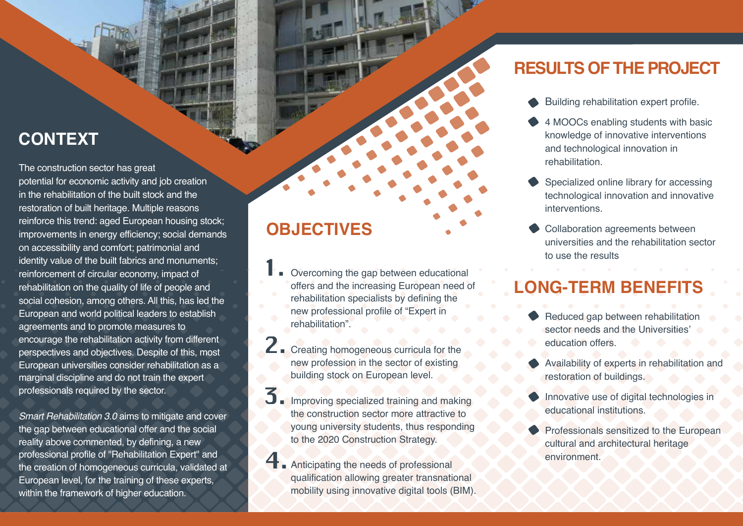## **CONTEXT**

The construction sector has great potential for economic activity and job creation in the rehabilitation of the built stock and the restoration of built heritage. Multiple reasons reinforce this trend: aged European housing stock; improvements in energy efficiency; social demands on accessibility and comfort; patrimonial and identity value of the built fabrics and monuments; reinforcement of circular economy, impact of rehabilitation on the quality of life of people and social cohesion, among others. All this, has led the European and world political leaders to establish agreements and to promote measures to encourage the rehabilitation activity from different perspectives and objectives. Despite of this, most European universities consider rehabilitation as a marginal discipline and do not train the expert professionals required by the sector.

*Smart Rehabilitation 3.0* aims to mitigate and cover the gap between educational offer and the social reality above commented, by defining, a new professional profile of "Rehabilitation Expert" and the creation of homogeneous curricula, validated at European level, for the training of these experts, within the framework of higher education.

## **OBJECTIVES**

- Overcoming the gap between educational offers and the increasing European need of rehabilitation specialists by defining the new professional profile of "Expert in rehabilitation". 1.
- 2. Creating homogeneous curricula for the new profession in the sector of existing building stock on European level.
- Improving specialized training and making the construction sector more attractive to young university students, thus responding to the 2020 Construction Strategy. 3.
- **4** Anticipating the needs of professional qualification allowing greater transnational mobility using innovative digital tools (BIM).

### **RESULTS OF THE PROJECT**

- Building rehabilitation expert profile.
- 4 MOOCs enabling students with basic knowledge of innovative interventions and technological innovation in rehabilitation.
- Specialized online library for accessing technological innovation and innovative interventions.
- Collaboration agreements between universities and the rehabilitation sector to use the results

## **LONG-TERM BENEFITS**

- Reduced gap between rehabilitation sector needs and the Universities education offers.
- Availability of experts in rehabilitation and restoration of buildings.
- Innovative use of digital technologies in educational institutions.
- Professionals sensitized to the European cultural and architectural heritage environment.